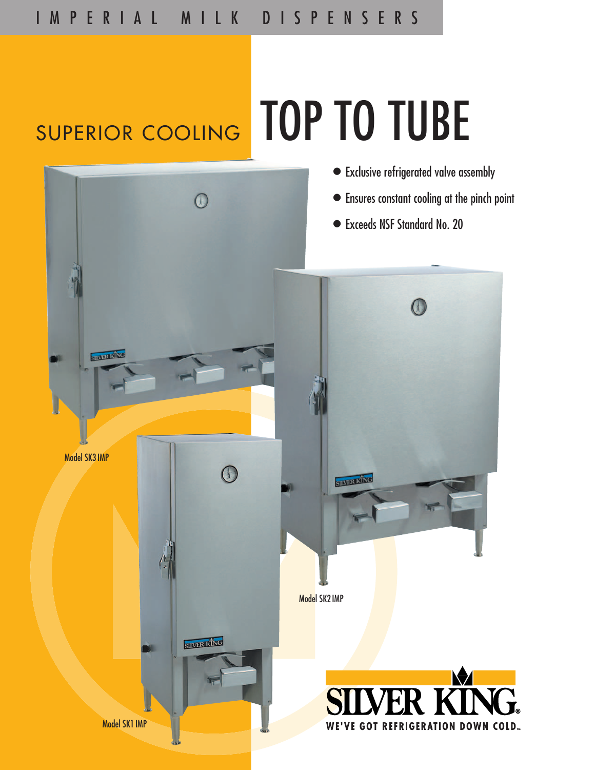## SUPERIOR COOLING TOP TO TUBE